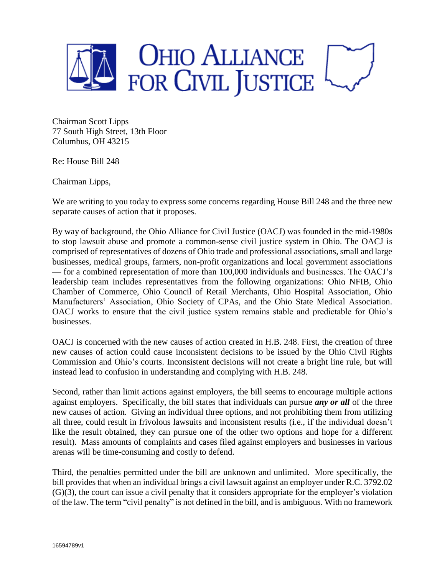

Chairman Scott Lipps 77 South High Street, 13th Floor Columbus, OH 43215

Re: House Bill 248

Chairman Lipps,

We are writing to you today to express some concerns regarding House Bill 248 and the three new separate causes of action that it proposes.

By way of background, the Ohio Alliance for Civil Justice (OACJ) was founded in the mid-1980s to stop lawsuit abuse and promote a common-sense civil justice system in Ohio. The OACJ is comprised of representatives of dozens of Ohio trade and professional associations, small and large businesses, medical groups, farmers, non-profit organizations and local government associations — for a combined representation of more than 100,000 individuals and businesses. The OACJ's leadership team includes representatives from the following organizations: Ohio NFIB, Ohio Chamber of Commerce, Ohio Council of Retail Merchants, Ohio Hospital Association, Ohio Manufacturers' Association, Ohio Society of CPAs, and the Ohio State Medical Association. OACJ works to ensure that the civil justice system remains stable and predictable for Ohio's businesses.

OACJ is concerned with the new causes of action created in H.B. 248. First, the creation of three new causes of action could cause inconsistent decisions to be issued by the Ohio Civil Rights Commission and Ohio's courts. Inconsistent decisions will not create a bright line rule, but will instead lead to confusion in understanding and complying with H.B. 248.

Second, rather than limit actions against employers, the bill seems to encourage multiple actions against employers. Specifically, the bill states that individuals can pursue *any or all* of the three new causes of action. Giving an individual three options, and not prohibiting them from utilizing all three, could result in frivolous lawsuits and inconsistent results (i.e., if the individual doesn't like the result obtained, they can pursue one of the other two options and hope for a different result). Mass amounts of complaints and cases filed against employers and businesses in various arenas will be time-consuming and costly to defend.

Third, the penalties permitted under the bill are unknown and unlimited. More specifically, the bill provides that when an individual brings a civil lawsuit against an employer under R.C. 3792.02 (G)(3), the court can issue a civil penalty that it considers appropriate for the employer's violation of the law. The term "civil penalty" is not defined in the bill, and is ambiguous. With no framework